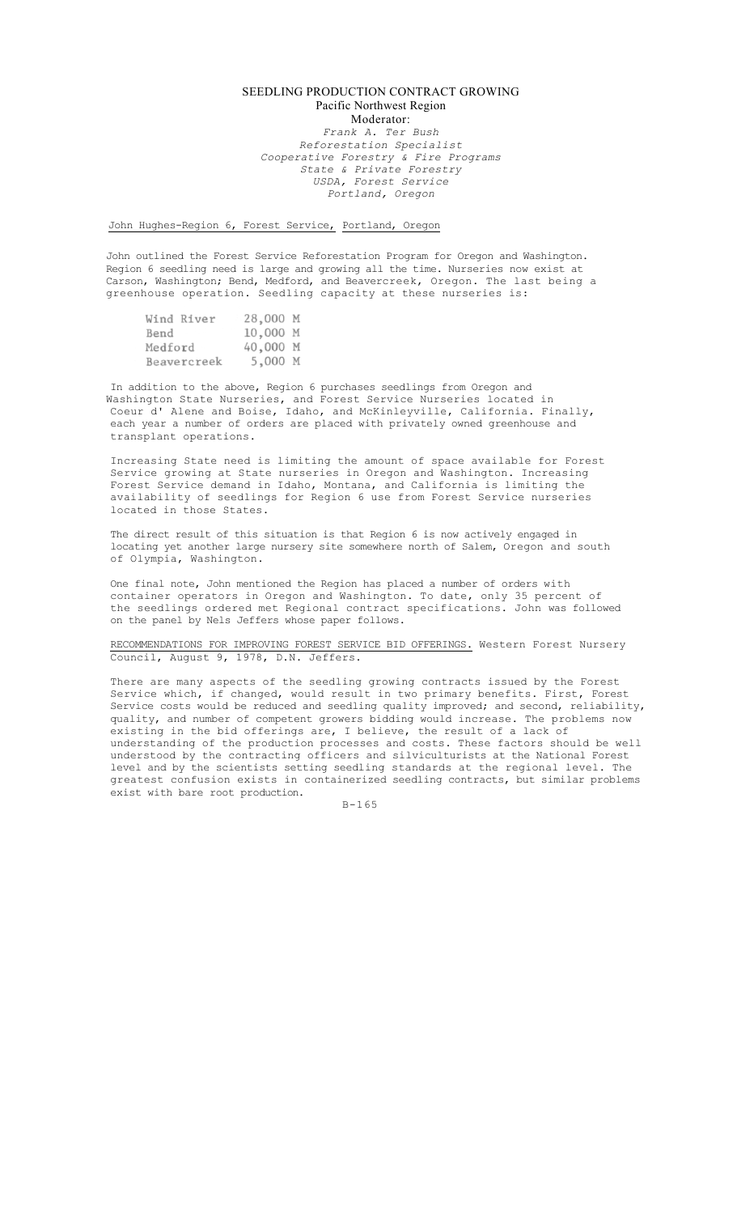### SEEDLING PRODUCTION CONTRACT GROWING Pacific Northwest Region Moderator: *Frank A. Ter Bush Reforestation Specialist Cooperative Forestry & Fire Programs State & Private Forestry USDA, Forest Service Portland, Oregon*

John Hughes-Region 6, Forest Service, Portland, Oregon

John outlined the Forest Service Reforestation Program for Oregon and Washington. Region 6 seedling need is large and growing all the time. Nurseries now exist at Carson, Washington; Bend, Medford, and Beavercreek, Oregon. The last being a greenhouse operation. Seedling capacity at these nurseries is:

| Wind River  | $28,000$ M |  |
|-------------|------------|--|
| Bend        | 10,000 M   |  |
| Medford     | 40,000 M   |  |
| Beavercreek | 5,000 M    |  |

In addition to the above, Region 6 purchases seedlings from Oregon and Washington State Nurseries, and Forest Service Nurseries located in Coeur d' Alene and Boise, Idaho, and McKinleyville, California. Finally, each year a number of orders are placed with privately owned greenhouse and transplant operations.

Increasing State need is limiting the amount of space available for Forest Service growing at State nurseries in Oregon and Washington. Increasing Forest Service demand in Idaho, Montana, and California is limiting the availability of seedlings for Region 6 use from Forest Service nurseries located in those States.

The direct result of this situation is that Region 6 is now actively engaged in locating yet another large nursery site somewhere north of Salem, Oregon and south of Olympia, Washington.

One final note, John mentioned the Region has placed a number of orders with container operators in Oregon and Washington. To date, only 35 percent of the seedlings ordered met Regional contract specifications. John was followed on the panel by Nels Jeffers whose paper follows.

RECOMMENDATIONS FOR IMPROVING FOREST SERVICE BID OFFERINGS. Western Forest Nursery Council, August 9, 1978, D.N. Jeffers.

There are many aspects of the seedling growing contracts issued by the Forest Service which, if changed, would result in two primary benefits. First, Forest Service costs would be reduced and seedling quality improved; and second, reliability, quality, and number of competent growers bidding would increase. The problems now existing in the bid offerings are, I believe, the result of a lack of understanding of the production processes and costs. These factors should be well understood by the contracting officers and silviculturists at the National Forest level and by the scientists setting seedling standards at the regional level. The greatest confusion exists in containerized seedling contracts, but similar problems exist with bare root production.

B-165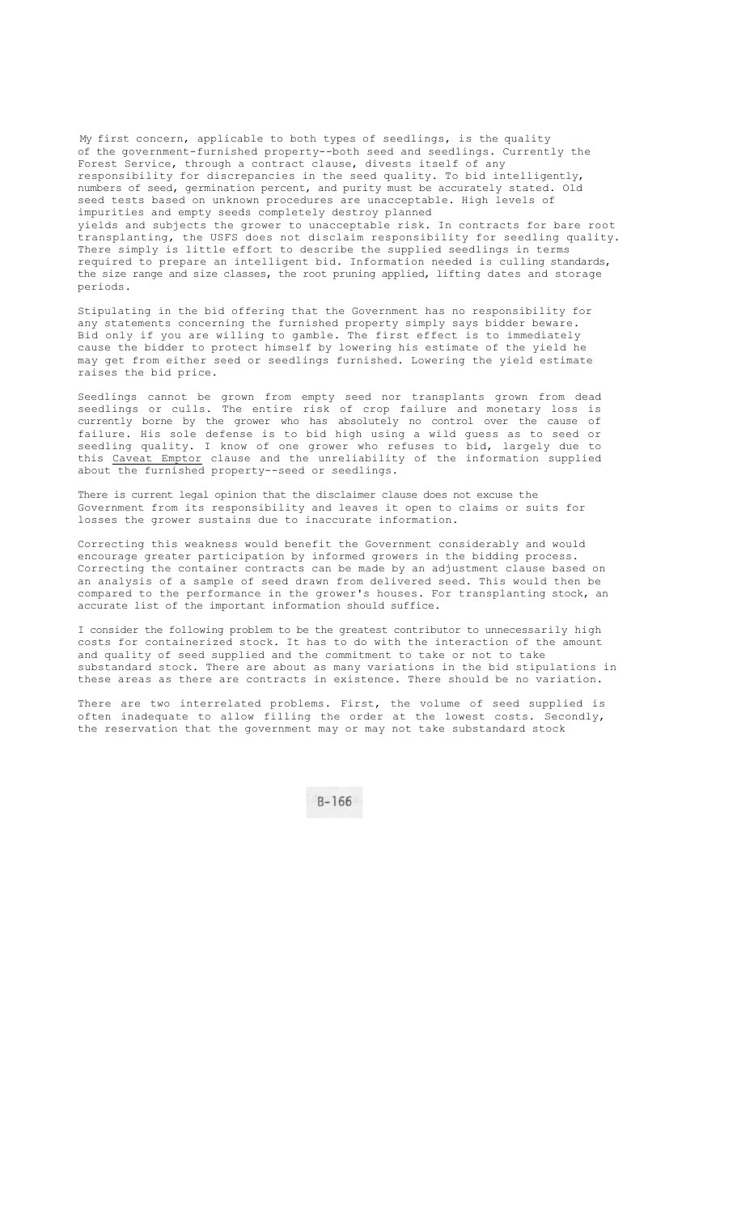My first concern, applicable to both types of seedlings, is the quality of the government-furnished property--both seed and seedlings. Currently the Forest Service, through a contract clause, divests itself of any responsibility for discrepancies in the seed quality. To bid intelligently, numbers of seed, germination percent, and purity must be accurately stated. Old seed tests based on unknown procedures are unacceptable. High levels of impurities and empty seeds completely destroy planned yields and subjects the grower to unacceptable risk. In contracts for bare root

transplanting, the USFS does not disclaim responsibility for seedling quality. There simply is little effort to describe the supplied seedlings in terms required to prepare an intelligent bid. Information needed is culling standards, the size range and size classes, the root pruning applied, lifting dates and storage periods.

Stipulating in the bid offering that the Government has no responsibility for any statements concerning the furnished property simply says bidder beware. Bid only if you are willing to gamble. The first effect is to immediately cause the bidder to protect himself by lowering his estimate of the yield he may get from either seed or seedlings furnished. Lowering the yield estimate raises the bid price.

Seedlings cannot be grown from empty seed nor transplants grown from dead seedlings or culls. The entire risk of crop failure and monetary loss is currently borne by the grower who has absolutely no control over the cause of failure. His sole defense is to bid high using a wild guess as to seed or seedling quality. I know of one grower who refuses to bid, largely due to this Caveat Emptor clause and the unreliability of the information supplied about the furnished property--seed or seedlings.

There is current legal opinion that the disclaimer clause does not excuse the Government from its responsibility and leaves it open to claims or suits for losses the grower sustains due to inaccurate information.

Correcting this weakness would benefit the Government considerably and would encourage greater participation by informed growers in the bidding process. Correcting the container contracts can be made by an adjustment clause based on an analysis of a sample of seed drawn from delivered seed. This would then be compared to the performance in the grower's houses. For transplanting stock, an accurate list of the important information should suffice.

I consider the following problem to be the greatest contributor to unnecessarily high costs for containerized stock. It has to do with the interaction of the amount and quality of seed supplied and the commitment to take or not to take substandard stock. There are about as many variations in the bid stipulations in these areas as there are contracts in existence. There should be no variation.

There are two interrelated problems. First, the volume of seed supplied is often inadequate to allow filling the order at the lowest costs. Secondly, the reservation that the government may or may not take substandard stock

 $B-166$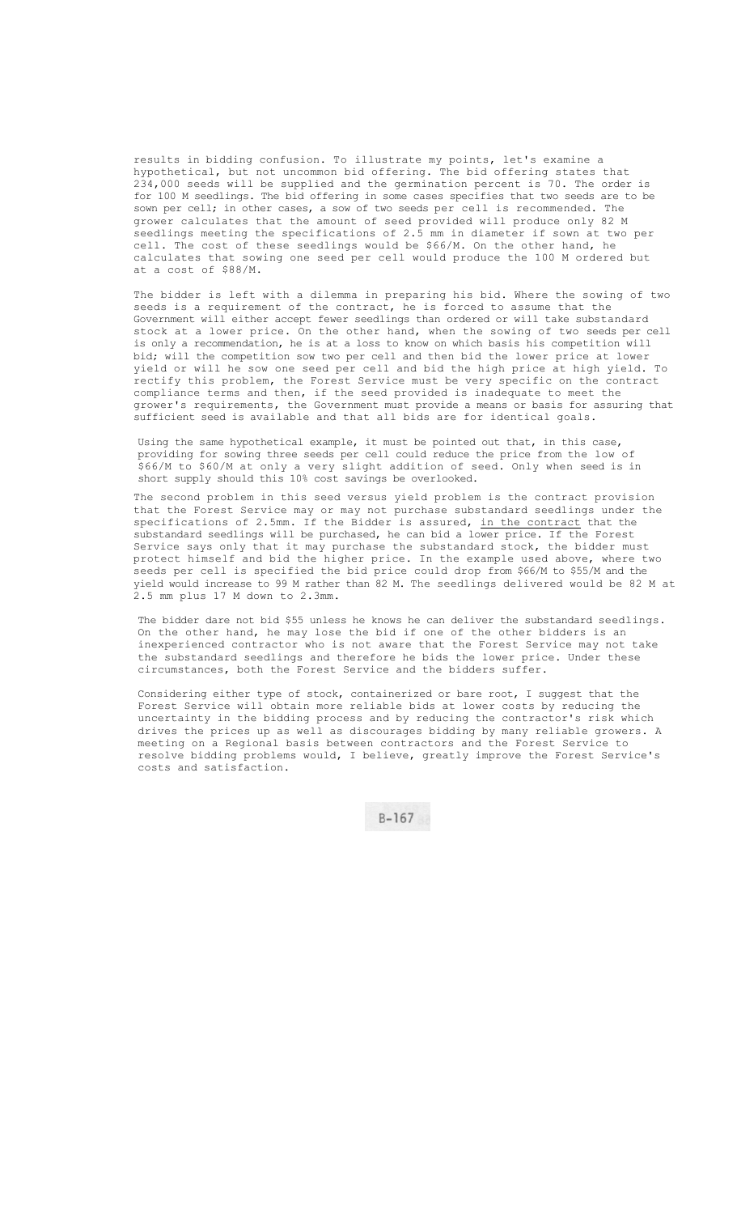results in bidding confusion. To illustrate my points, let's examine a hypothetical, but not uncommon bid offering. The bid offering states that 234,000 seeds will be supplied and the germination percent is 70. The order is for 100 M seedlings. The bid offering in some cases specifies that two seeds are to be sown per cell; in other cases, a sow of two seeds per cell is recommended. The grower calculates that the amount of seed provided will produce only 82 M seedlings meeting the specifications of 2.5 mm in diameter if sown at two per cell. The cost of these seedlings would be \$66/M. On the other hand, he calculates that sowing one seed per cell would produce the 100 M ordered but at a cost of \$88/M.

The bidder is left with a dilemma in preparing his bid. Where the sowing of two seeds is a requirement of the contract, he is forced to assume that the Government will either accept fewer seedlings than ordered or will take substandard stock at a lower price. On the other hand, when the sowing of two seeds per cell is only a recommendation, he is at a loss to know on which basis his competition will bid; will the competition sow two per cell and then bid the lower price at lower yield or will he sow one seed per cell and bid the high price at high yield. To rectify this problem, the Forest Service must be very specific on the contract compliance terms and then, if the seed provided is inadequate to meet the grower's requirements, the Government must provide a means or basis for assuring that sufficient seed is available and that all bids are for identical goals.

Using the same hypothetical example, it must be pointed out that, in this case, providing for sowing three seeds per cell could reduce the price from the low of \$66/M to \$60/M at only a very slight addition of seed. Only when seed is in short supply should this 10% cost savings be overlooked.

The second problem in this seed versus yield problem is the contract provision that the Forest Service may or may not purchase substandard seedlings under the specifications of 2.5mm. If the Bidder is assured, in the contract that the substandard seedlings will be purchased, he can bid a lower price. If the Forest Service says only that it may purchase the substandard stock, the bidder must protect himself and bid the higher price. In the example used above, where two seeds per cell is specified the bid price could drop from \$66/M to \$55/M and the yield would increase to 99 M rather than 82 M. The seedlings delivered would be 82 M at 2.5 mm plus 17 M down to 2.3mm.

The bidder dare not bid \$55 unless he knows he can deliver the substandard seedlings. On the other hand, he may lose the bid if one of the other bidders is an inexperienced contractor who is not aware that the Forest Service may not take the substandard seedlings and therefore he bids the lower price. Under these circumstances, both the Forest Service and the bidders suffer.

Considering either type of stock, containerized or bare root, I suggest that the Forest Service will obtain more reliable bids at lower costs by reducing the uncertainty in the bidding process and by reducing the contractor's risk which drives the prices up as well as discourages bidding by many reliable growers. A meeting on a Regional basis between contractors and the Forest Service to resolve bidding problems would, I believe, greatly improve the Forest Service's costs and satisfaction.

 $B-167$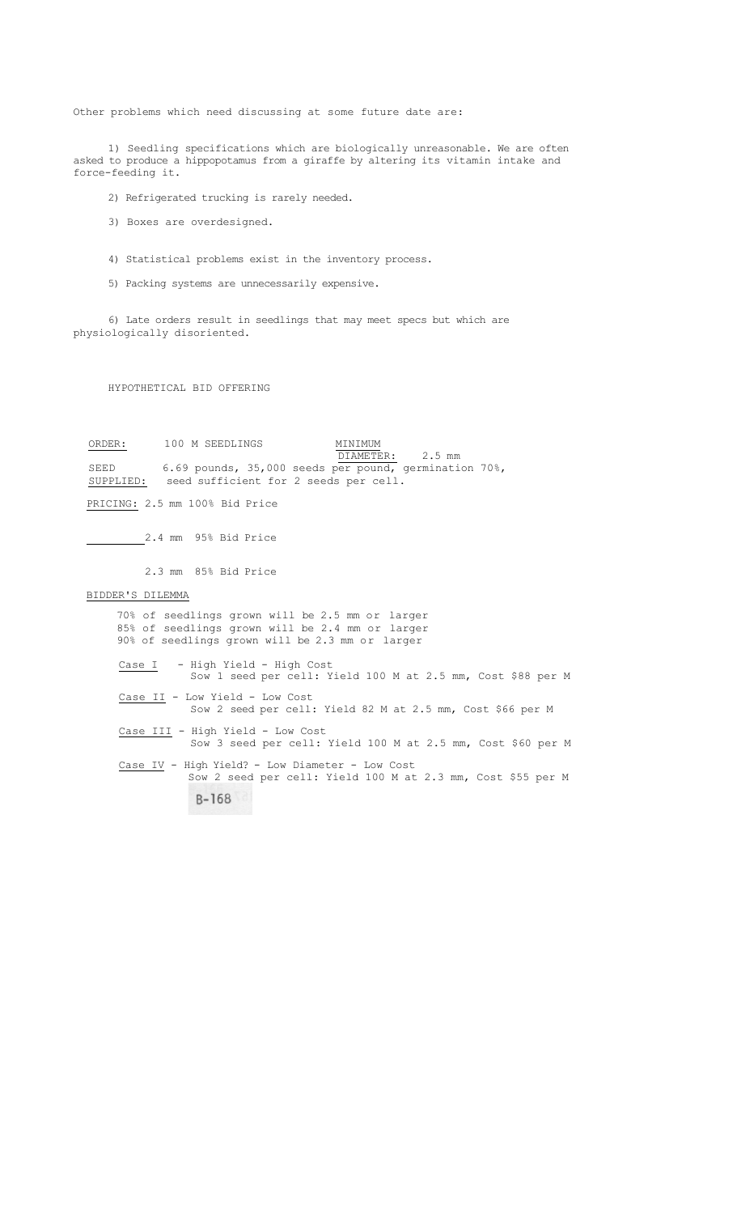Other problems which need discussing at some future date are:

1) Seedling specifications which are biologically unreasonable. We are often asked to produce a hippopotamus from a giraffe by altering its vitamin intake and force-feeding it.

2) Refrigerated trucking is rarely needed.

- 3) Boxes are overdesigned.
- 4) Statistical problems exist in the inventory process.
- 5) Packing systems are unnecessarily expensive.

6) Late orders result in seedlings that may meet specs but which are physiologically disoriented.

HYPOTHETICAL BID OFFERING

| ORDER:    | 100 M SEEDLINGS                       | MINIMUM                                                   |
|-----------|---------------------------------------|-----------------------------------------------------------|
|           |                                       | DIAMETER: 2.5 mm                                          |
| SEED      |                                       | 6.69 pounds, 35,000 seeds per pound, germination $70\%$ , |
| SUPPLIED: | seed sufficient for 2 seeds per cell. |                                                           |
|           | PRICING: 2.5 mm 100% Bid Price        |                                                           |
|           | 2.4 mm 95% Bid Price                  |                                                           |

2.3 mm 85% Bid Price

## BIDDER'S DILEMMA

70% of seedlings grown will be 2.5 mm or larger 85% of seedlings grown will be 2.4 mm or larger 90% of seedlings grown will be 2.3 mm or larger

Case I - High Yield - High Cost Sow 1 seed per cell: Yield 100 M at 2.5 mm, Cost \$88 per M Case II - Low Yield - Low Cost Sow 2 seed per cell: Yield 82 M at 2.5 mm, Cost \$66 per M Case III - High Yield - Low Cost Sow 3 seed per cell: Yield 100 M at 2.5 mm, Cost \$60 per M Case IV - High Yield? - Low Diameter - Low Cost

Sow 2 seed per cell: Yield 100 M at 2.3 mm, Cost \$55 per M  $B-168$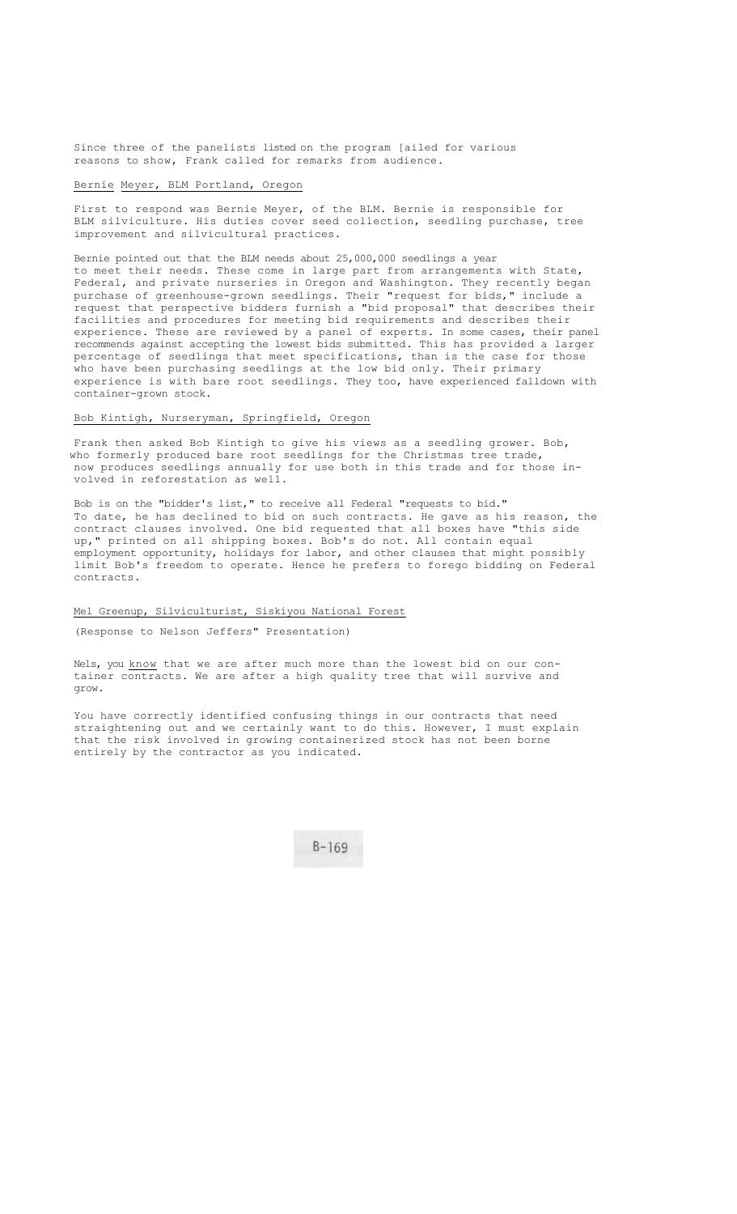Since three of the panelists listed on the program [ailed for various reasons to show, Frank called for remarks from audience.

#### Bernie Meyer, BLM Portland, Oregon

First to respond was Bernie Meyer, of the BLM. Bernie is responsible for BLM silviculture. His duties cover seed collection, seedling purchase, tree improvement and silvicultural practices.

Bernie pointed out that the BLM needs about 25,000,000 seedlings a year to meet their needs. These come in large part from arrangements with State, Federal, and private nurseries in Oregon and Washington. They recently began purchase of greenhouse-grown seedlings. Their "request for bids," include a request that perspective bidders furnish a "bid proposal" that describes their facilities and procedures for meeting bid requirements and describes their experience. These are reviewed by a panel of experts. In some cases, their panel recommends against accepting the lowest bids submitted. This has provided a larger percentage of seedlings that meet specifications, than is the case for those who have been purchasing seedlings at the low bid only. Their primary experience is with bare root seedlings. They too, have experienced falldown with container-grown stock.

#### Bob Kintigh, Nurseryman, Springfield, Oregon

Frank then asked Bob Kintigh to give his views as a seedling grower. Bob, who formerly produced bare root seedlings for the Christmas tree trade, now produces seedlings annually for use both in this trade and for those involved in reforestation as well.

Bob is on the "bidder's list," to receive all Federal "requests to bid." To date, he has declined to bid on such contracts. He gave as his reason, the contract clauses involved. One bid requested that all boxes have "this side up," printed on all shipping boxes. Bob's do not. All contain equal employment opportunity, holidays for labor, and other clauses that might possibly limit Bob's freedom to operate. Hence he prefers to forego bidding on Federal contracts.

# Mel Greenup, Silviculturist, Siskiyou National Forest

(Response to Nelson Jeffers" Presentation)

Nels, you know that we are after much more than the lowest bid on our container contracts. We are after a high quality tree that will survive and grow.

You have correctly identified confusing things in our contracts that need straightening out and we certainly want to do this. However, I must explain that the risk involved in growing containerized stock has not been borne entirely by the contractor as you indicated.

 $B - 169$